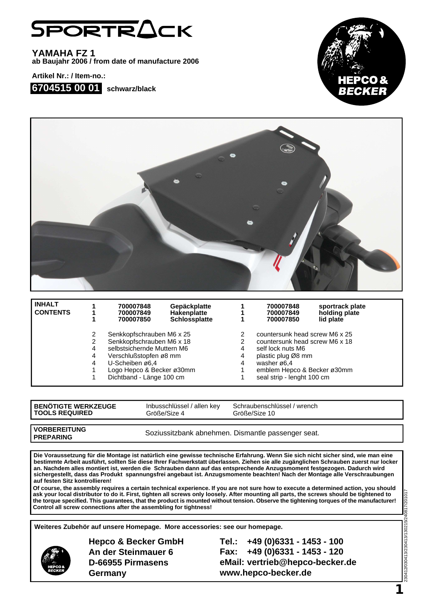## SPORTRACK

**YAMAHA FZ 1 ab Baujahr 2006 / from date of manufacture 2006**

**Artikel Nr.: / Item-no.:**







| <b>INHALT</b><br><b>CONTENTS</b> |   | 700007848<br>700007849<br>700007850                                                                                                                                                        | Gepäckplatte<br><b>Hakenplatte</b><br><b>Schlossplatte</b> |   | 700007848<br>700007849<br>700007850                                       | sportrack plate<br>holding plate<br>lid plate |
|----------------------------------|---|--------------------------------------------------------------------------------------------------------------------------------------------------------------------------------------------|------------------------------------------------------------|---|---------------------------------------------------------------------------|-----------------------------------------------|
|                                  |   | Senkkopfschrauben M6 x 25<br>Senkkopfschrauben M6 x 18<br>selbstsichernde Muttern M6<br>Verschlußstopfen ø8 mm<br>U-Scheiben ø6,4<br>Logo Hepco & Becker ø30mm<br>Dichtband - Länge 100 cm |                                                            |   | countersunk head screw M6 x 25                                            |                                               |
|                                  |   |                                                                                                                                                                                            |                                                            |   | countersunk head screw M6 x 18<br>self lock nuts M6<br>plastic plug Ø8 mm |                                               |
|                                  | 4 |                                                                                                                                                                                            |                                                            | 4 |                                                                           |                                               |
|                                  | 4 |                                                                                                                                                                                            |                                                            | 4 |                                                                           |                                               |
|                                  | 4 |                                                                                                                                                                                            |                                                            | 4 | washer $\varnothing$ 6.4                                                  |                                               |
|                                  |   |                                                                                                                                                                                            |                                                            |   | emblem Hepco & Becker ø30mm                                               |                                               |
|                                  |   |                                                                                                                                                                                            |                                                            |   | seal strip - lenght 100 cm                                                |                                               |

| <b>BENOTIGTE WERKZEUGE</b> |
|----------------------------|
| <b>TOOLS REQUIRED</b>      |

Inbusschlüssel / allen key Größe/Size 4

Schraubenschlüssel / wrench Größe/Size 10

**VORBEREITUNG PREPARING**

Soziussitzbank abnehmen. Dismantle passenger seat.

**Die Voraussetzung für die Montage ist natürlich eine gewisse technische Erfahrung. Wenn Sie sich nicht sicher sind, wie man eine bestimmte Arbeit ausführt, sollten Sie diese Ihrer Fachwerkstatt überlassen. Ziehen sie alle zugänglichen Schrauben zuerst nur locker an. Nachdem alles montiert ist, werden die Schrauben dann auf das entsprechende Anzugsmoment festgezogen. Dadurch wird sichergestellt, dass das Produkt spannungsfrei angebaut ist. Anzugsmomente beachten! Nach der Montage alle Verschraubungen auf festen Sitz kontrollieren!**

**Of course, the assembly requires a certain technical experience. If you are not sure how to execute a determined action, you should ask your local distributor to do it. First, tighten all screws only loosely. After mounting all parts, the screws should be tightened to the torque specified. This guarantees, that the product is mounted without tension. Observe the tightening torques of the manufacturer! Control all screw connections after the assembling for tightness!**

**Weiteres Zubehör auf unsere Homepage. More accessories: see our homepage.**



**Hepco & Becker GmbH An der Steinmauer 6 D-66955 Pirmasens Germany**

**Tel.: +49 (0)6331 - 1453 - 100 Fax: +49 (0)6331 - 1453 - 120 eMail: vertrieb@hepco-becker.de www.hepco-becker.de**

230412/030413/230413/130215/240817/201017 230412/030413/230413/130215/240817/20101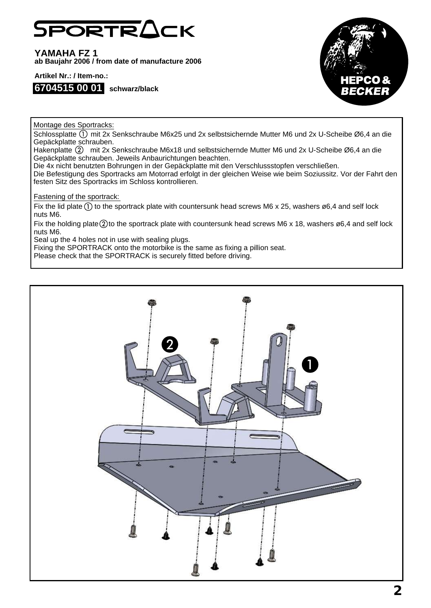## **PORTRACK**

**YAMAHA FZ 1 ab Baujahr 2006 / from date of manufacture 2006**

**Artikel Nr.: / Item-no.:**





Montage des Sportracks:

Schlossplatte (1) mit 2x Senkschraube M6x25 und 2x selbstsichernde Mutter M6 und 2x U-Scheibe Ø6,4 an die Gepäckplatte schrauben.

Hakenplatte (2) mit 2x Senkschraube M6x18 und selbstsichernde Mutter M6 und 2x U-Scheibe Ø6,4 an die Gepäckplatte schrauben. Jeweils Anbaurichtungen beachten.

Die 4x nicht benutzten Bohrungen in der Gepäckplatte mit den Verschlussstopfen verschließen.

Die Befestigung des Sportracks am Motorrad erfolgt in der gleichen Weise wie beim Soziussitz. Vor der Fahrt den festen Sitz des Sportracks im Schloss kontrollieren.

Fastening of the sportrack:

Fix the lid plate  $(1)$  to the sportrack plate with countersunk head screws M6 x 25, washers ø6,4 and self lock nuts M6.

Fix the holding plate  $(2)$  to the sportrack plate with countersunk head screws M6 x 18, washers ø6.4 and self lock nuts M6.

Seal up the 4 holes not in use with sealing plugs.

Fixing the SPORTRACK onto the motorbike is the same as fixing a pillion seat.

Please check that the SPORTRACK is securely fitted before driving.